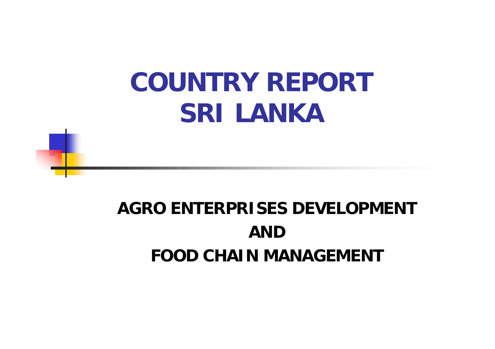## **COUNTRY REPORTSRI LANKA**

#### **AGRO ENTERPRISES DEVELOPMENTANDFOOD CHAIN MANAGEMENT**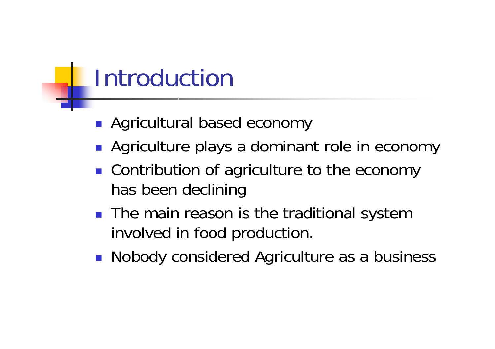## Introduction

- **Agricultural based economy**
- **Agriculture plays a dominant role in economy**
- **Contribution of agriculture to the economy** has been declining
- The main reason is the traditional system involved in food production.
- **Nobody considered Agriculture as a business**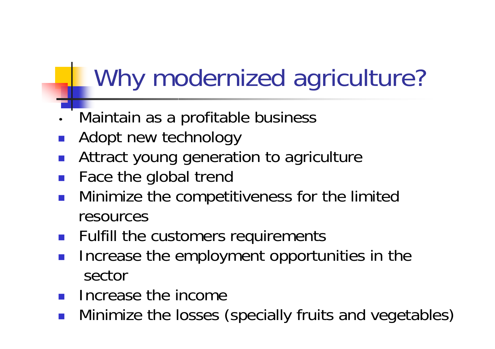## Why modernized agriculture?

- •Maintain as a profitable business
- F Adopt new technology
- $\mathbb{R}^2$ Attract young generation to agriculture
- $\mathbb{R}^n$ Face the global trend
- F Minimize the competitiveness for the limited resources
- $\mathbb{R}^n$ Fulfill the customers requirements
- F Increase the employment opportunities in the sector
- $\mathbb{R}^n$ Increase the income
- F **• Minimize the losses (specially fruits and vegetables)**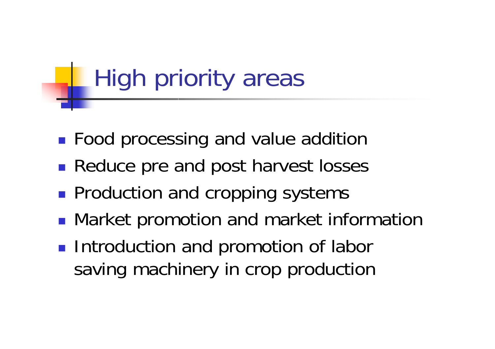# High priority areas

- $\mathbb{R}^3$ **Food processing and value addition**
- $\mathbb{R}^3$ **Reduce pre and post harvest losses**
- $\mathbb{R}^3$ **Production and cropping systems**
- $\mathbb{R}^3$ **• Market promotion and market information**
- $\mathbb{R}^3$ **Introduction and promotion of labor** saving machinery in crop production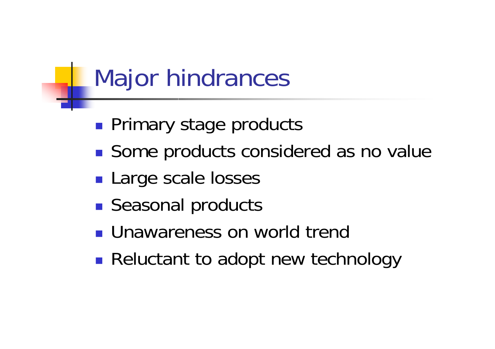## Major hindrances

- **Primary stage products**
- **Service Service** ■ Some products considered as no value
- **Large scale losses**
- **Seasonal products**
- **Unawareness on world trend**
- **Reluctant to adopt new technology**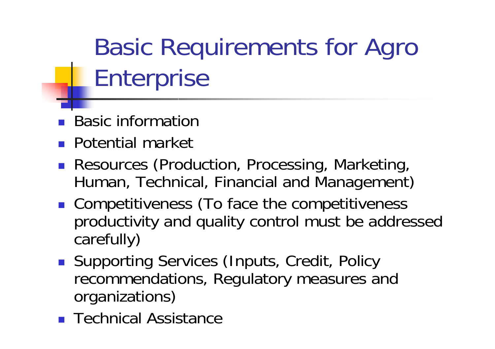Basic Requirements for Agro Enterprise

- $\mathbb{R}^2$ Basic information
- $\mathbb{R}^n$ Potential market
- F Resources (Production, Processing, Marketing, Human, Technical, Financial and Management)
- **Competitiveness (To face the competitiveness** productivity and quality control must be addressed carefully)
- **Supporting Services (Inputs, Credit, Policy** recommendations, Regulatory measures and organizations)
- $\mathbb{R}^n$ Technical Assistance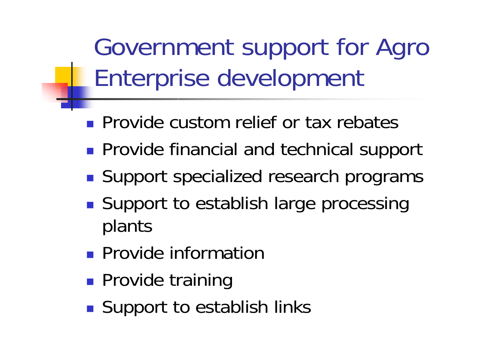Government support for Agro Enterprise development

- **Provide custom relief or tax rebates**
- **Provide financial and technical support**
- **Service Service** ■ Support specialized research programs
- ■ Support to establish large processing plants
- **Provide information**
- **Provide training**
- **Service Service** ■ Support to establish links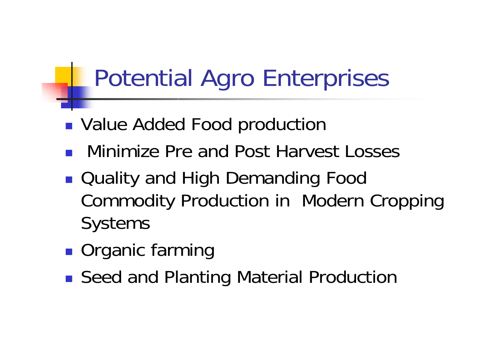## Potential Agro Enterprises

- **Nalue Added Food production**
- **Service Service** Minimize Pre and Post Harvest Losses
- ■ Quality and High Demanding Food Commodity Production in Modern Cropping **Systems**
- **Service Service Organic farming**
- ■ Seed and Planting Material Production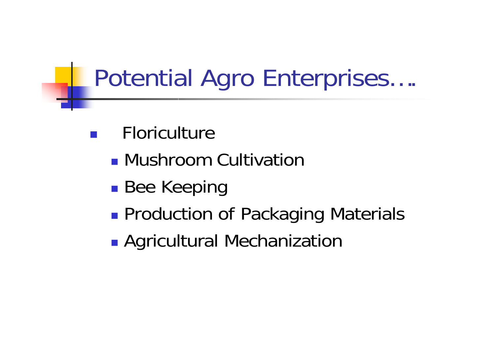## Potential Agro Enterprises….

- Floriculture
	- **Mushroom Cultivation**
	- p. **Bee Keeping**
	- $\mathbb{R}^3$ **Production of Packaging Materials**
	- $\mathbb{R}^3$ **Agricultural Mechanization**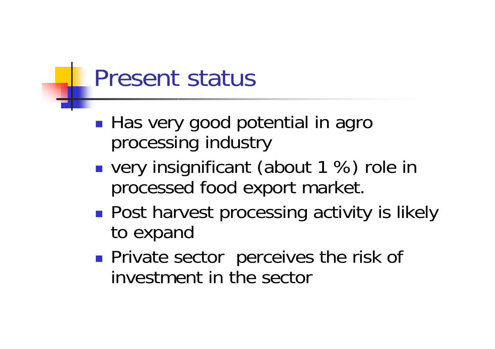#### Present status

- **Service Service** ■ Has very good potential in agro processing industry
- **very insignificant (about 1 %) role in** processed food export market.
- ■ Post harvest processing activity is likely to expand
- **Service Service Private sector perceives the risk of** investment in the sector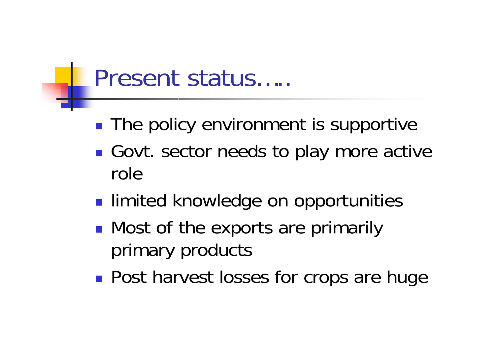#### Present status…..

- **The policy environment is supportive**
- **Service Service** ■ Govt. sector needs to play more active role
- **Service Service Example 1** limited knowledge on opportunities
- **Nost of the exports are primarily** primary products
- **Post harvest losses for crops are huge**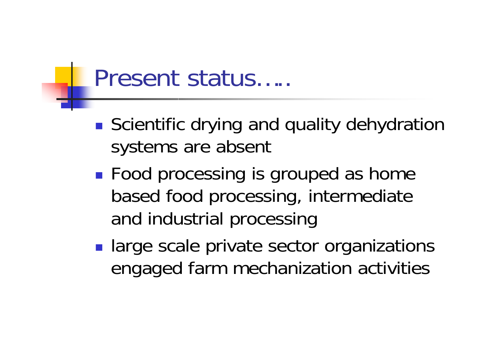#### Present status…..

- **Scientific drying and quality dehydration** systems are absent
- **Food processing is grouped as home** based food processing, intermediate and industrial processing
- **large scale private sector organizations** engaged farm mechanization activities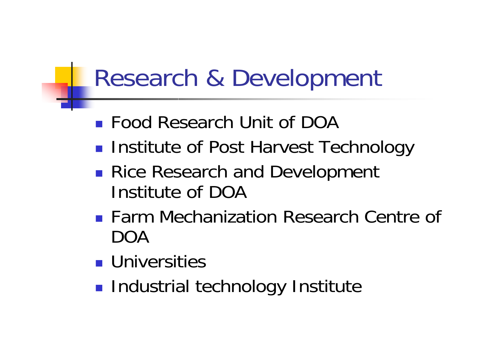## Research & Development

- Food Research Unit of DOA
- **Institute of Post Harvest Technology**
- ■ Rice Research and Development Institute of DOA
- **Farm Mechanization Research Centre of** DOA
- **L** Universities
- **Refindustrial technology Institute**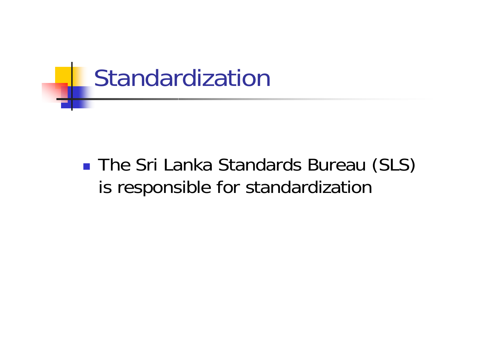

#### **The Sri Lanka Standards Bureau (SLS)** is responsible for standardization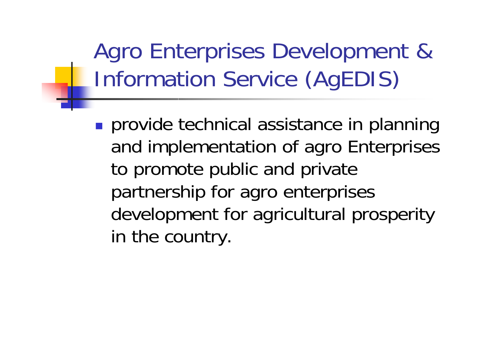Agro Enterprises Development & Information Service (AgEDIS)

**provide technical assistance in planning** and implementation of agro Enterprises to promote public and private partnership for agro enterprises development for agricultural prosperity in the country.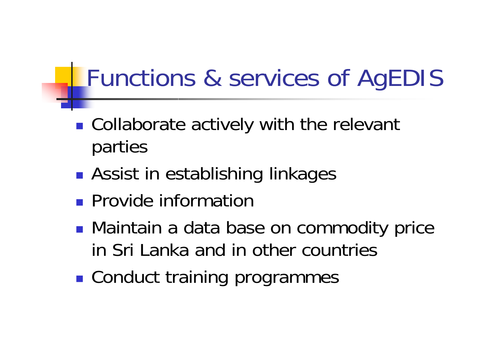## Functions & services of AgEDIS

- ■ Collaborate actively with the relevant parties
- **• Assist in establishing linkages**
- **Provide information**
- ■ Maintain a data base on commodity price in Sri Lanka and in other countries
- **Example 2 Conduct training programmes**